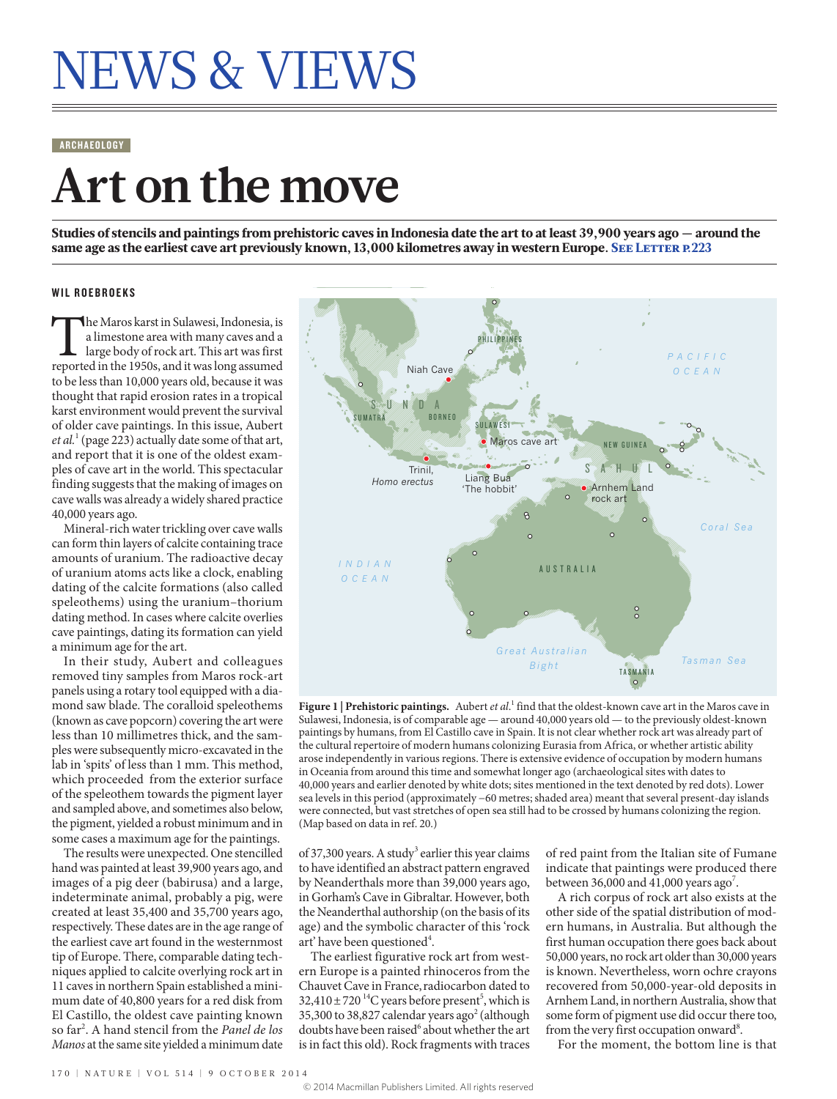# NEWS & VIEWS

#### ARCHAEOLOGY

## **Art on the move**

Studies of stencils and paintings from prehistoric caves in Indonesia date the art to at least 39,900 years ago — around the same age as the earliest cave art previously known, 13,000 kilometres away in western Europe. SEE LETTER P.223

#### WIL ROEBROEKS

The Maros karst in Sulawesi, Indonesia, is<br>a limestone area with many caves and a<br>large body of rock art. This art was first<br>reported in the 1950s, and it was long assumed a limestone area with many caves and a large body of rock art. This art was first to be less than 10,000 years old, because it was thought that rapid erosion rates in a tropical karst environment would prevent the survival of older cave paintings. In this issue, Aubert *et al.*<sup>1</sup> (page 223) actually date some of that art, and report that it is one of the oldest examples of cave art in the world. This spectacular finding suggests that the making of images on cave walls was already a widely shared practice 40,000 years ago.

Mineral-rich water trickling over cave walls can form thin layers of calcite containing trace amounts of uranium. The radioactive decay of uranium atoms acts like a clock, enabling dating of the calcite formations (also called speleothems) using the uranium–thorium dating method. In cases where calcite overlies cave paintings, dating its formation can yield a minimum age for the art.

In their study, Aubert and colleagues removed tiny samples from Maros rock-art panels using a rotary tool equipped with a diamond saw blade. The coralloid speleothems (known as cave popcorn) covering the art were less than 10 millimetres thick, and the samples were subsequently micro-excavated in the lab in 'spits' of less than 1 mm. This method, which proceeded from the exterior surface of the speleothem towards the pigment layer and sampled above, and sometimes also below, the pigment, yielded a robust minimum and in some cases a maximum age for the paintings.

The results were unexpected. One stencilled hand was painted at least 39,900 years ago, and images of a pig deer (babirusa) and a large, indeterminate animal, probably a pig, were created at least 35,400 and 35,700 years ago, respectively. These dates are in the age range of the earliest cave art found in the westernmost tip of Europe. There, comparable dating techniques applied to calcite overlying rock art in 11 caves in northern Spain established a minimum date of 40,800 years for a red disk from El Castillo, the oldest cave painting known so far<sup>2</sup> . A hand stencil from the *Panel de los Manos* at the same site yielded a minimum date



Figure 1 | Prehistoric paintings. Aubert *et al.*<sup>1</sup> find that the oldest-known cave art in the Maros cave in Sulawesi, Indonesia, is of comparable age — around 40,000 years old — to the previously oldest-known paintings by humans, from El Castillo cave in Spain. It is not clear whether rock art was already part of the cultural repertoire of modern humans colonizing Eurasia from Africa, or whether artistic ability arose independently in various regions. There is extensive evidence of occupation by modern humans in Oceania from around this time and somewhat longer ago (archaeological sites with dates to 40,000 years and earlier denoted by white dots; sites mentioned in the text denoted by red dots). Lower sea levels in this period (approximately −60 metres; shaded area) meant that several present-day islands were connected, but vast stretches of open sea still had to be crossed by humans colonizing the region. (Map based on data in ref. 20.)

of 37,300 years. A study<sup>3</sup> earlier this year claims to have identified an abstract pattern engraved by Neanderthals more than 39,000 years ago, in Gorham's Cave in Gibraltar. However, both the Neanderthal authorship (on the basis of its age) and the symbolic character of this 'rock art' have been questioned<sup>4</sup>.

The earliest figurative rock art from western Europe is a painted rhinoceros from the Chauvet Cave in France, radiocarbon dated to  $32,410 \pm 720$  <sup>14</sup>C years before present<sup>5</sup>, which is 35,300 to 38,827 calendar years ago<sup>2</sup> (although doubts have been raised<sup>6</sup> about whether the art is in fact this old). Rock fragments with traces

of red paint from the Italian site of Fumane indicate that paintings were produced there between 36,000 and 41,000 years ago<sup>7</sup>.

A rich corpus of rock art also exists at the other side of the spatial distribution of modern humans, in Australia. But although the first human occupation there goes back about 50,000 years, no rock art older than 30,000 years is known. Nevertheless, worn ochre crayons recovered from 50,000-year-old deposits in Arnhem Land, in northern Australia, show that some form of pigment use did occur there too, from the very first occupation onward<sup>8</sup>.

For the moment, the bottom line is that